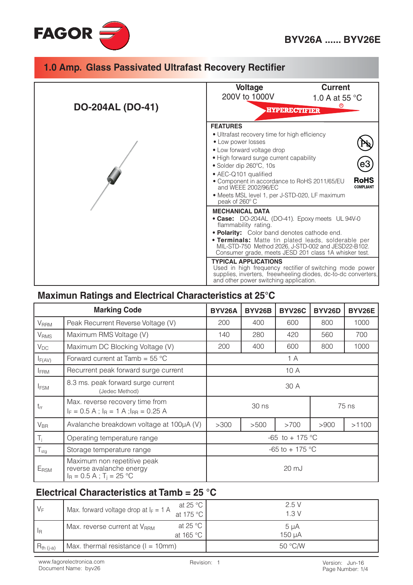



### Maximun Ratings and Electrical Characteristics at 25°C

| <b>Marking Code</b>     |                                                                                                   | BYV26A             | BYV26B | <b>BYV26C</b> | BYV26D | BYV26E |
|-------------------------|---------------------------------------------------------------------------------------------------|--------------------|--------|---------------|--------|--------|
| <b>V</b> <sub>RRM</sub> | Peak Recurrent Reverse Voltage (V)                                                                | 200                | 400    | 600           | 800    | 1000   |
| $\rm V_{RMS}$           | Maximum RMS Voltage (V)                                                                           | 140                | 280    | 420           | 560    | 700    |
| $V_{DC}$                | Maximum DC Blocking Voltage (V)                                                                   | 200                | 400    | 600           | 800    | 1000   |
| $I_{F(AV)}$             | Forward current at Tamb = $55^{\circ}$ C                                                          | 1A                 |        |               |        |        |
| <b>IFRM</b>             | Recurrent peak forward surge current                                                              | 10 A               |        |               |        |        |
| <b>IFSM</b>             | 8.3 ms. peak forward surge current<br>(Jedec Method)                                              | 30 A               |        |               |        |        |
| $t_{rr}$                | Max. reverse recovery time from<br>$I_F = 0.5 A$ ; $I_R = 1 A$ ; $I_{RR} = 0.25 A$                | 30 ns<br>75 ns     |        |               |        |        |
| $V_{\text{BR}}$         | Avalanche breakdown voltage at 100µA (V)                                                          | >300               | >500   | >700          | >900   | >1100  |
| $T_i$                   | Operating temperature range                                                                       | $-65$ to $+175$ °C |        |               |        |        |
| $T_{\text{stg}}$        | Storage temperature range                                                                         | $-65$ to $+175$ °C |        |               |        |        |
| E <sub>RSM</sub>        | Maximum non repetitive peak<br>reverse avalanche energy<br>$I_R = 0.5 A$ ; T <sub>i</sub> = 25 °C | 20 mJ              |        |               |        |        |

#### Electrical Characteristics at Tamb =  $25 °C$

| $V_F$                     | at 25 $^{\circ}$ C<br>Max. forward voltage drop at $I_F = 1$ A<br>at 175 °C | 2.5V<br>1.3V   |
|---------------------------|-----------------------------------------------------------------------------|----------------|
| $\mathsf{I}_{\mathsf{R}}$ | at 25 $\degree$ C<br>Max. reverse current at V <sub>RRM</sub><br>at 165 °C  | 5 µA<br>150 uA |
| $R_{th (j-a)}$            | Max. thermal resistance $(I = 10$ mm)                                       | 50 °C/W        |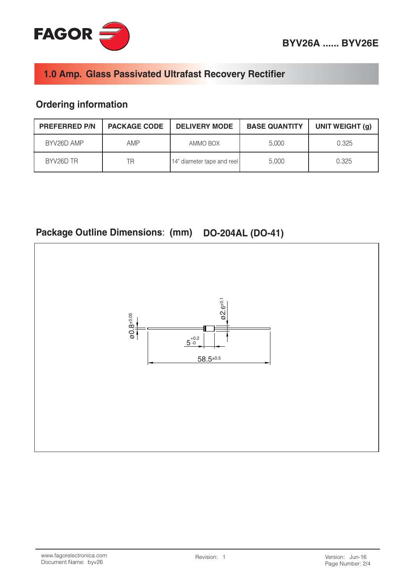



## **Ordering information**

| <b>PREFERRED P/N</b> | <b>PACKAGE CODE</b> | <b>DELIVERY MODE</b>       | <b>BASE QUANTITY</b> | UNIT WEIGHT (g) |
|----------------------|---------------------|----------------------------|----------------------|-----------------|
| BYV26D AMP           | AMP                 | AMMO BOX                   | 5.000                | 0.325           |
| BYV26D TR            | ΤR                  | 14" diameter tape and reel | 5.000                | 0.325           |

# Package Outline Dimensions: (mm) DO-204AL (DO-41)

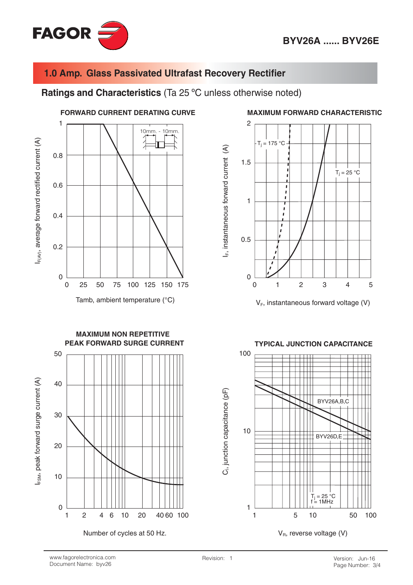

Ratings and Characteristics (Ta 25 °C unless otherwise noted)



Number of cycles at 50 Hz.

Page Number: 3/4

 $V_B$ , reverse voltage (V)

#### **MAXIMUM FORWARD CHARACTERISTIC**